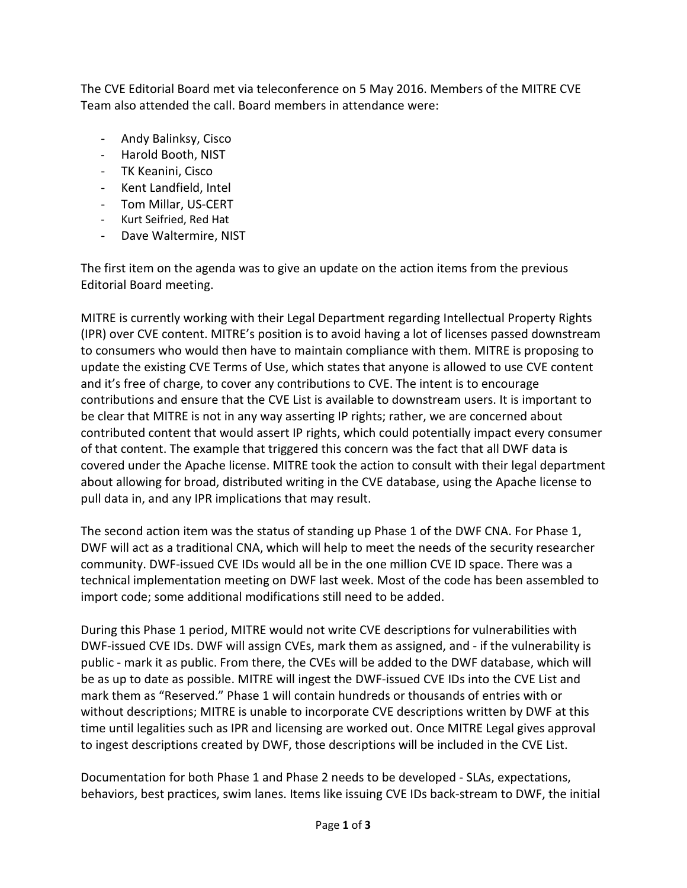The CVE Editorial Board met via teleconference on 5 May 2016. Members of the MITRE CVE Team also attended the call. Board members in attendance were:

- Andy Balinksy, Cisco
- Harold Booth, NIST
- TK Keanini, Cisco
- Kent Landfield, Intel
- Tom Millar, US-CERT
- Kurt Seifried, Red Hat
- Dave Waltermire, NIST

The first item on the agenda was to give an update on the action items from the previous Editorial Board meeting.

MITRE is currently working with their Legal Department regarding Intellectual Property Rights (IPR) over CVE content. MITRE's position is to avoid having a lot of licenses passed downstream to consumers who would then have to maintain compliance with them. MITRE is proposing to update the existing CVE Terms of Use, which states that anyone is allowed to use CVE content and it's free of charge, to cover any contributions to CVE. The intent is to encourage contributions and ensure that the CVE List is available to downstream users. It is important to be clear that MITRE is not in any way asserting IP rights; rather, we are concerned about contributed content that would assert IP rights, which could potentially impact every consumer of that content. The example that triggered this concern was the fact that all DWF data is covered under the Apache license. MITRE took the action to consult with their legal department about allowing for broad, distributed writing in the CVE database, using the Apache license to pull data in, and any IPR implications that may result.

The second action item was the status of standing up Phase 1 of the DWF CNA. For Phase 1, DWF will act as a traditional CNA, which will help to meet the needs of the security researcher community. DWF-issued CVE IDs would all be in the one million CVE ID space. There was a technical implementation meeting on DWF last week. Most of the code has been assembled to import code; some additional modifications still need to be added.

During this Phase 1 period, MITRE would not write CVE descriptions for vulnerabilities with DWF-issued CVE IDs. DWF will assign CVEs, mark them as assigned, and - if the vulnerability is public - mark it as public. From there, the CVEs will be added to the DWF database, which will be as up to date as possible. MITRE will ingest the DWF-issued CVE IDs into the CVE List and mark them as "Reserved." Phase 1 will contain hundreds or thousands of entries with or without descriptions; MITRE is unable to incorporate CVE descriptions written by DWF at this time until legalities such as IPR and licensing are worked out. Once MITRE Legal gives approval to ingest descriptions created by DWF, those descriptions will be included in the CVE List.

Documentation for both Phase 1 and Phase 2 needs to be developed - SLAs, expectations, behaviors, best practices, swim lanes. Items like issuing CVE IDs back-stream to DWF, the initial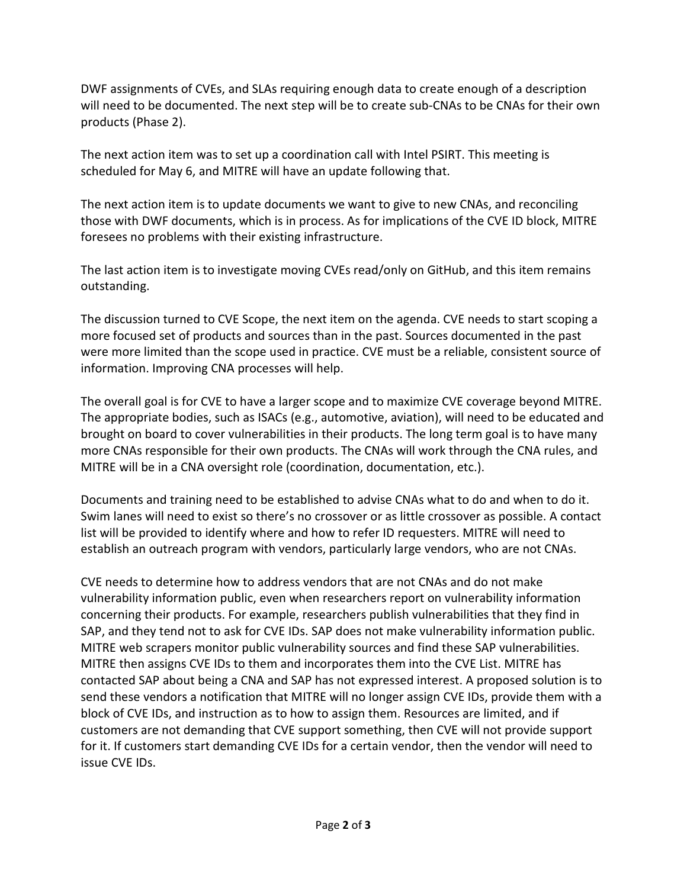DWF assignments of CVEs, and SLAs requiring enough data to create enough of a description will need to be documented. The next step will be to create sub-CNAs to be CNAs for their own products (Phase 2).

The next action item was to set up a coordination call with Intel PSIRT. This meeting is scheduled for May 6, and MITRE will have an update following that.

The next action item is to update documents we want to give to new CNAs, and reconciling those with DWF documents, which is in process. As for implications of the CVE ID block, MITRE foresees no problems with their existing infrastructure.

The last action item is to investigate moving CVEs read/only on GitHub, and this item remains outstanding.

The discussion turned to CVE Scope, the next item on the agenda. CVE needs to start scoping a more focused set of products and sources than in the past. Sources documented in the past were more limited than the scope used in practice. CVE must be a reliable, consistent source of information. Improving CNA processes will help.

The overall goal is for CVE to have a larger scope and to maximize CVE coverage beyond MITRE. The appropriate bodies, such as ISACs (e.g., automotive, aviation), will need to be educated and brought on board to cover vulnerabilities in their products. The long term goal is to have many more CNAs responsible for their own products. The CNAs will work through the CNA rules, and MITRE will be in a CNA oversight role (coordination, documentation, etc.).

Documents and training need to be established to advise CNAs what to do and when to do it. Swim lanes will need to exist so there's no crossover or as little crossover as possible. A contact list will be provided to identify where and how to refer ID requesters. MITRE will need to establish an outreach program with vendors, particularly large vendors, who are not CNAs.

CVE needs to determine how to address vendors that are not CNAs and do not make vulnerability information public, even when researchers report on vulnerability information concerning their products. For example, researchers publish vulnerabilities that they find in SAP, and they tend not to ask for CVE IDs. SAP does not make vulnerability information public. MITRE web scrapers monitor public vulnerability sources and find these SAP vulnerabilities. MITRE then assigns CVE IDs to them and incorporates them into the CVE List. MITRE has contacted SAP about being a CNA and SAP has not expressed interest. A proposed solution is to send these vendors a notification that MITRE will no longer assign CVE IDs, provide them with a block of CVE IDs, and instruction as to how to assign them. Resources are limited, and if customers are not demanding that CVE support something, then CVE will not provide support for it. If customers start demanding CVE IDs for a certain vendor, then the vendor will need to issue CVE IDs.